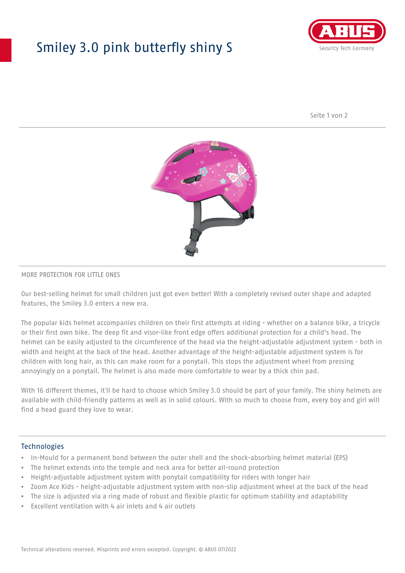## Smiley 3.0 pink butterfly shiny S



Seite 1 von 2



#### MORE PROTECTION FOR LITTLE ONES

Our best-selling helmet for small children just got even better! With a completely revised outer shape and adapted features, the Smiley 3.0 enters a new era.

The popular kids helmet accompanies children on their first attempts at riding - whether on a balance bike, a tricycle or their first own bike. The deep fit and visor-like front edge offers additional protection for a child's head. The helmet can be easily adjusted to the circumference of the head via the height-adjustable adjustment system - both in width and height at the back of the head. Another advantage of the height-adjustable adjustment system is for children with long hair, as this can make room for a ponytail. This stops the adjustment wheel from pressing annoyingly on a ponytail. The helmet is also made more comfortable to wear by a thick chin pad.

With 16 different themes, it'll be hard to choose which Smiley 3.0 should be part of your family. The shiny helmets are available with child-friendly patterns as well as in solid colours. With so much to choose from, every boy and girl will find a head guard they love to wear.

#### **Technologies**

- In-Mould for a permanent bond between the outer shell and the shock-absorbing helmet material (EPS)
- The helmet extends into the temple and neck area for better all-round protection
- Height-adjustable adjustment system with ponytail compatibility for riders with longer hair
- Zoom Ace Kids height-adjustable adjustment system with non-slip adjustment wheel at the back of the head
- The size is adjusted via a ring made of robust and flexible plastic for optimum stability and adaptability
- Excellent ventilation with 4 air inlets and 4 air outlets